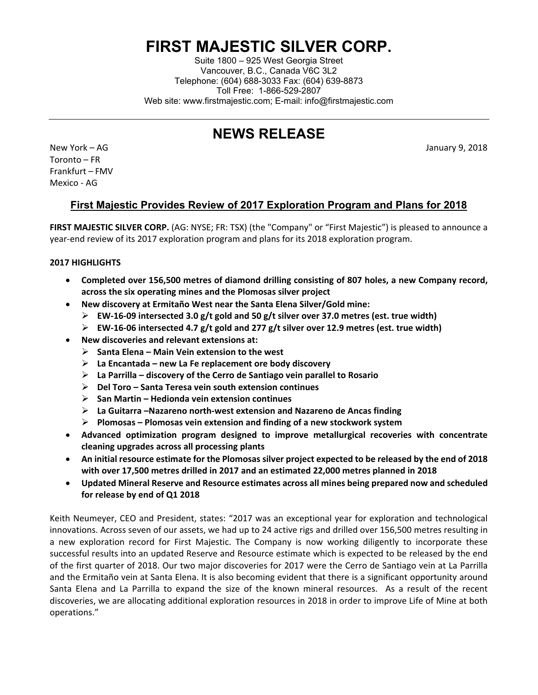# **FIRST MAJESTIC SILVER CORP.**

Suite 1800 – 925 West Georgia Street Vancouver, B.C., Canada V6C 3L2 Telephone: (604) 688-3033 Fax: (604) 639-8873 Toll Free: 1-866-529-2807 Web site: www.firstmajestic.com; E-mail: info@firstmajestic.com

## **NEWS RELEASE**

New York – AG January 9, 2018 Toronto – FR Frankfurt – FMV Mexico ‐ AG

### **First Majestic Provides Review of 2017 Exploration Program and Plans for 2018**

**FIRST MAJESTIC SILVER CORP.** (AG: NYSE; FR: TSX) (the "Company" or "First Majestic") is pleased to announce a year-end review of its 2017 exploration program and plans for its 2018 exploration program.

#### **2017 HIGHLIGHTS**

- **Completed over 156,500 metres of diamond drilling consisting of 807 holes, a new Company record, across the six operating mines and the Plomosas silver project**
- **New discovery at Ermitaño West near the Santa Elena Silver/Gold mine:** 
	- **EW‐16‐09 intersected 3.0 g/t gold and 50 g/t silver over 37.0 metres (est. true width)**
	- **EW‐16‐06 intersected 4.7 g/t gold and 277 g/t silver over 12.9 metres (est. true width)**
- **New discoveries and relevant extensions at:** 
	- **Santa Elena Main Vein extension to the west**
	- **La Encantada new La Fe replacement ore body discovery**
	- **La Parrilla discovery of the Cerro de Santiago vein parallel to Rosario**
	- **Del Toro Santa Teresa vein south extension continues**
	- **San Martin Hedionda vein extension continues**
	- **La Guitarra –Nazareno north‐west extension and Nazareno de Ancas finding**
	- **Plomosas Plomosas vein extension and finding of a new stockwork system**
- **Advanced optimization program designed to improve metallurgical recoveries with concentrate cleaning upgrades across all processing plants**
- **An initial resource estimate for the Plomosas silver project expected to be released by the end of 2018 with over 17,500 metres drilled in 2017 and an estimated 22,000 metres planned in 2018**
- **Updated Mineral Reserve and Resource estimates across all mines being prepared now and scheduled for release by end of Q1 2018**

Keith Neumeyer, CEO and President, states: "2017 was an exceptional year for exploration and technological innovations. Across seven of our assets, we had up to 24 active rigs and drilled over 156,500 metres resulting in a new exploration record for First Majestic. The Company is now working diligently to incorporate these successful results into an updated Reserve and Resource estimate which is expected to be released by the end of the first quarter of 2018. Our two major discoveries for 2017 were the Cerro de Santiago vein at La Parrilla and the Ermitaño vein at Santa Elena. It is also becoming evident that there is a significant opportunity around Santa Elena and La Parrilla to expand the size of the known mineral resources. As a result of the recent discoveries, we are allocating additional exploration resources in 2018 in order to improve Life of Mine at both operations."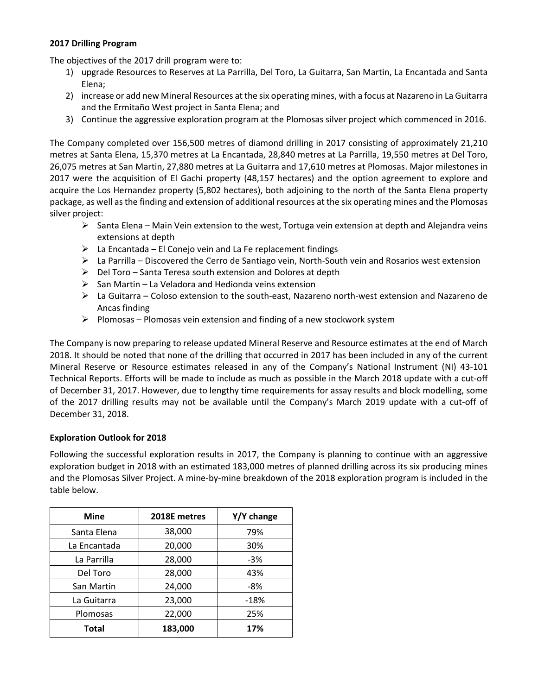#### **2017 Drilling Program**

The objectives of the 2017 drill program were to:

- 1) upgrade Resources to Reserves at La Parrilla, Del Toro, La Guitarra, San Martin, La Encantada and Santa Elena;
- 2) increase or add new Mineral Resources at the six operating mines, with a focus at Nazareno in La Guitarra and the Ermitaño West project in Santa Elena; and
- 3) Continue the aggressive exploration program at the Plomosas silver project which commenced in 2016.

The Company completed over 156,500 metres of diamond drilling in 2017 consisting of approximately 21,210 metres at Santa Elena, 15,370 metres at La Encantada, 28,840 metres at La Parrilla, 19,550 metres at Del Toro, 26,075 metres at San Martin, 27,880 metres at La Guitarra and 17,610 metres at Plomosas. Major milestones in 2017 were the acquisition of El Gachi property (48,157 hectares) and the option agreement to explore and acquire the Los Hernandez property (5,802 hectares), both adjoining to the north of the Santa Elena property package, as well as the finding and extension of additional resources at the six operating mines and the Plomosas silver project:

- $\triangleright$  Santa Elena Main Vein extension to the west, Tortuga vein extension at depth and Alejandra veins extensions at depth
- $\triangleright$  La Encantada El Conejo vein and La Fe replacement findings
- La Parrilla Discovered the Cerro de Santiago vein, North‐South vein and Rosarios west extension
- $\triangleright$  Del Toro Santa Teresa south extension and Dolores at depth
- $\triangleright$  San Martin La Veladora and Hedionda veins extension
- La Guitarra Coloso extension to the south‐east, Nazareno north‐west extension and Nazareno de Ancas finding
- $\triangleright$  Plomosas Plomosas vein extension and finding of a new stockwork system

The Company is now preparing to release updated Mineral Reserve and Resource estimates at the end of March 2018. It should be noted that none of the drilling that occurred in 2017 has been included in any of the current Mineral Reserve or Resource estimates released in any of the Company's National Instrument (NI) 43-101 Technical Reports. Efforts will be made to include as much as possible in the March 2018 update with a cut‐off of December 31, 2017. However, due to lengthy time requirements for assay results and block modelling, some of the 2017 drilling results may not be available until the Company's March 2019 update with a cut-off of December 31, 2018.

#### **Exploration Outlook for 2018**

Following the successful exploration results in 2017, the Company is planning to continue with an aggressive exploration budget in 2018 with an estimated 183,000 metres of planned drilling across its six producing mines and the Plomosas Silver Project. A mine‐by‐mine breakdown of the 2018 exploration program is included in the table below.

| <b>Mine</b>  | 2018E metres | Y/Y change |
|--------------|--------------|------------|
| Santa Elena  | 38,000       | 79%        |
| La Encantada | 20,000       | 30%        |
| La Parrilla  | 28,000       | $-3%$      |
| Del Toro     | 28,000       | 43%        |
| San Martin   | 24,000       | $-8%$      |
| La Guitarra  | 23,000       | $-18%$     |
| Plomosas     | 22,000       | 25%        |
| <b>Total</b> | 183,000      | 17%        |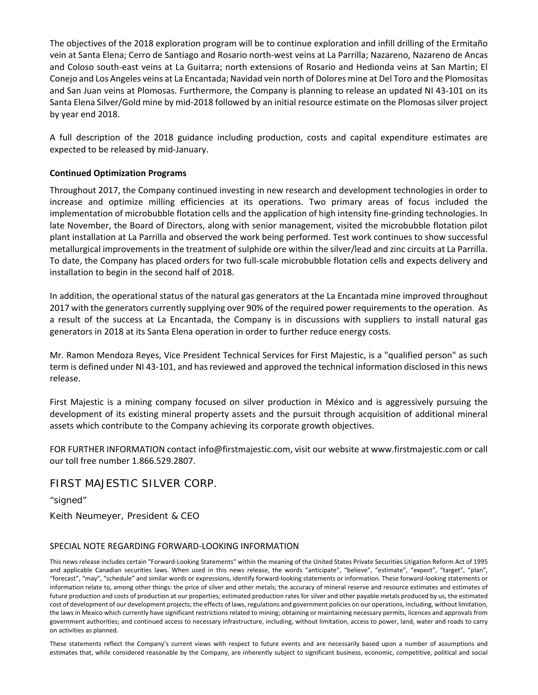The objectives of the 2018 exploration program will be to continue exploration and infill drilling of the Ermitaño vein at Santa Elena; Cerro de Santiago and Rosario north‐west veins at La Parrilla; Nazareno, Nazareno de Ancas and Coloso south‐east veins at La Guitarra; north extensions of Rosario and Hedionda veins at San Martin; El Conejo and Los Angeles veins at La Encantada; Navidad vein north of Dolores mine at Del Toro and the Plomositas and San Juan veins at Plomosas. Furthermore, the Company is planning to release an updated NI 43‐101 on its Santa Elena Silver/Gold mine by mid‐2018 followed by an initial resource estimate on the Plomosas silver project by year end 2018.

A full description of the 2018 guidance including production, costs and capital expenditure estimates are expected to be released by mid‐January.

#### **Continued Optimization Programs**

Throughout 2017, the Company continued investing in new research and development technologies in order to increase and optimize milling efficiencies at its operations. Two primary areas of focus included the implementation of microbubble flotation cells and the application of high intensity fine-grinding technologies. In late November, the Board of Directors, along with senior management, visited the microbubble flotation pilot plant installation at La Parrilla and observed the work being performed. Test work continues to show successful metallurgical improvements in the treatment of sulphide ore within the silver/lead and zinc circuits at La Parrilla. To date, the Company has placed orders for two full‐scale microbubble flotation cells and expects delivery and installation to begin in the second half of 2018.

In addition, the operational status of the natural gas generators at the La Encantada mine improved throughout 2017 with the generators currently supplying over 90% of the required power requirements to the operation. As a result of the success at La Encantada, the Company is in discussions with suppliers to install natural gas generators in 2018 at its Santa Elena operation in order to further reduce energy costs.

Mr. Ramon Mendoza Reyes, Vice President Technical Services for First Majestic, is a "qualified person" as such term is defined under NI 43‐101, and has reviewed and approved the technical information disclosed in this news release.

First Majestic is a mining company focused on silver production in México and is aggressively pursuing the development of its existing mineral property assets and the pursuit through acquisition of additional mineral assets which contribute to the Company achieving its corporate growth objectives.

FOR FURTHER INFORMATION contact info@firstmajestic.com, visit our website at www.firstmajestic.com or call our toll free number 1.866.529.2807.

#### FIRST MAJESTIC SILVER CORP.

*"signed"* 

Keith Neumeyer, President & CEO

#### SPECIAL NOTE REGARDING FORWARD‐LOOKING INFORMATION

This news release includes certain "Forward‐Looking Statements" within the meaning of the United States Private Securities Litigation Reform Act of 1995 and applicable Canadian securities laws. When used in this news release, the words "anticipate", "believe", "estimate", "expect", "target", "plan", "forecast", "may", "schedule" and similar words or expressions, identify forward‐looking statements or information. These forward‐looking statements or information relate to, among other things: the price of silver and other metals; the accuracy of mineral reserve and resource estimates and estimates of future production and costs of production at our properties; estimated production rates for silver and other payable metals produced by us, the estimated cost of development of our development projects; the effects of laws, regulations and government policies on our operations, including, without limitation, the laws in Mexico which currently have significant restrictions related to mining; obtaining or maintaining necessary permits, licences and approvals from government authorities; and continued access to necessary infrastructure, including, without limitation, access to power, land, water and roads to carry on activities as planned.

These statements reflect the Company's current views with respect to future events and are necessarily based upon a number of assumptions and estimates that, while considered reasonable by the Company, are inherently subject to significant business, economic, competitive, political and social